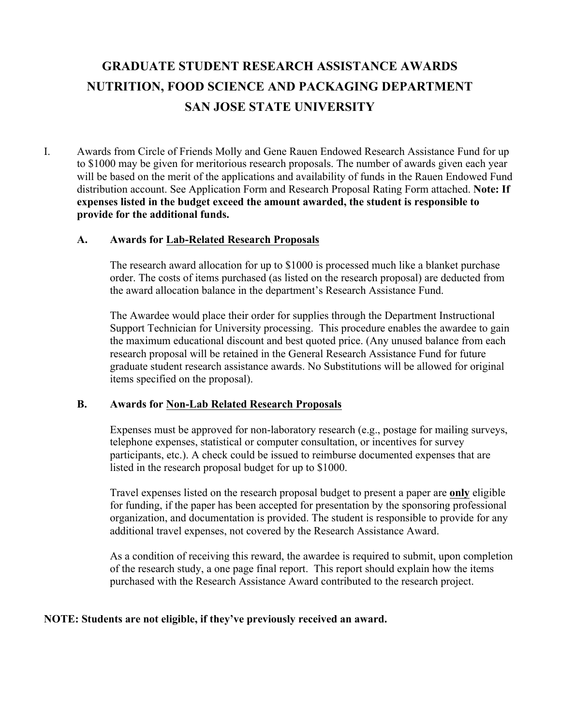## **GRADUATE STUDENT RESEARCH ASSISTANCE AWARDS NUTRITION, FOOD SCIENCE AND PACKAGING DEPARTMENT SAN JOSE STATE UNIVERSITY**

I. Awards from Circle of Friends Molly and Gene Rauen Endowed Research Assistance Fund for up to \$1000 may be given for meritorious research proposals. The number of awards given each year will be based on the merit of the applications and availability of funds in the Rauen Endowed Fund distribution account. See Application Form and Research Proposal Rating Form attached. **Note: If expenses listed in the budget exceed the amount awarded, the student is responsible to provide for the additional funds.**

#### **A. Awards for Lab-Related Research Proposals**

The research award allocation for up to \$1000 is processed much like a blanket purchase order. The costs of items purchased (as listed on the research proposal) are deducted from the award allocation balance in the department's Research Assistance Fund.

The Awardee would place their order for supplies through the Department Instructional Support Technician for University processing. This procedure enables the awardee to gain the maximum educational discount and best quoted price. (Any unused balance from each research proposal will be retained in the General Research Assistance Fund for future graduate student research assistance awards. No Substitutions will be allowed for original items specified on the proposal).

#### **B. Awards for Non-Lab Related Research Proposals**

Expenses must be approved for non-laboratory research (e.g., postage for mailing surveys, telephone expenses, statistical or computer consultation, or incentives for survey participants, etc.). A check could be issued to reimburse documented expenses that are listed in the research proposal budget for up to \$1000.

Travel expenses listed on the research proposal budget to present a paper are **only** eligible for funding, if the paper has been accepted for presentation by the sponsoring professional organization, and documentation is provided. The student is responsible to provide for any additional travel expenses, not covered by the Research Assistance Award.

As a condition of receiving this reward, the awardee is required to submit, upon completion of the research study, a one page final report. This report should explain how the items purchased with the Research Assistance Award contributed to the research project.

#### **NOTE: Students are not eligible, if they've previously received an award.**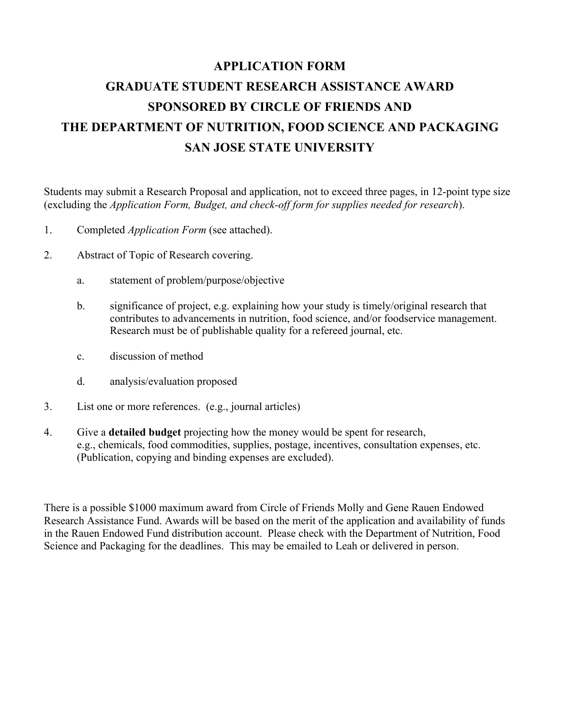# **APPLICATION FORM GRADUATE STUDENT RESEARCH ASSISTANCE AWARD SPONSORED BY CIRCLE OF FRIENDS AND THE DEPARTMENT OF NUTRITION, FOOD SCIENCE AND PACKAGING SAN JOSE STATE UNIVERSITY**

Students may submit a Research Proposal and application, not to exceed three pages, in 12-point type size (excluding the *Application Form, Budget, and check-off form for supplies needed for research*).

- 1. Completed *Application Form* (see attached).
- 2. Abstract of Topic of Research covering.
	- a. statement of problem/purpose/objective
	- b. significance of project, e.g. explaining how your study is timely/original research that contributes to advancements in nutrition, food science, and/or foodservice management. Research must be of publishable quality for a refereed journal, etc.
	- c. discussion of method
	- d. analysis/evaluation proposed
- 3. List one or more references. (e.g., journal articles)
- 4. Give a **detailed budget** projecting how the money would be spent for research, e.g., chemicals, food commodities, supplies, postage, incentives, consultation expenses, etc. (Publication, copying and binding expenses are excluded).

There is a possible \$1000 maximum award from Circle of Friends Molly and Gene Rauen Endowed Research Assistance Fund. Awards will be based on the merit of the application and availability of funds in the Rauen Endowed Fund distribution account. Please check with the Department of Nutrition, Food Science and Packaging for the deadlines. This may be emailed to Leah or delivered in person.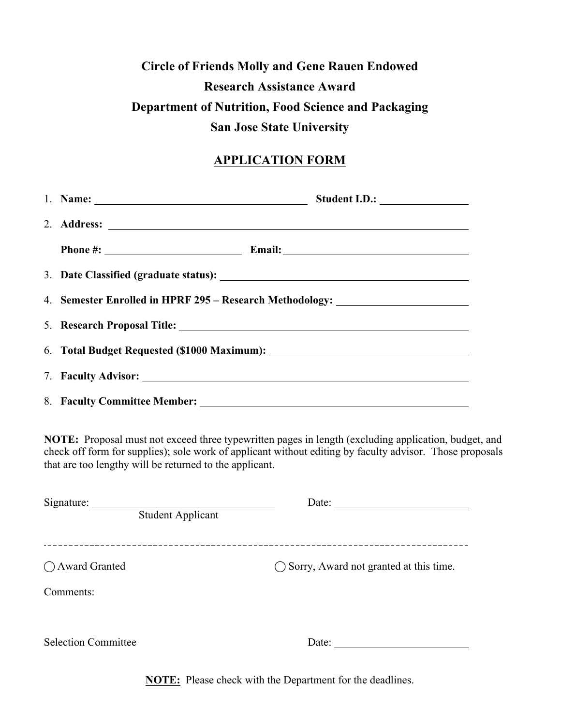## **Circle of Friends Molly and Gene Rauen Endowed Research Assistance Award Department of Nutrition, Food Science and Packaging San Jose State University**

### **APPLICATION FORM**

| 1. Name: $\frac{1}{2}$ and $\frac{1}{2}$ and $\frac{1}{2}$ and $\frac{1}{2}$ and $\frac{1}{2}$ and $\frac{1}{2}$ and $\frac{1}{2}$ and $\frac{1}{2}$ and $\frac{1}{2}$ and $\frac{1}{2}$ and $\frac{1}{2}$ and $\frac{1}{2}$ and $\frac{1}{2}$ and $\frac{1}{2}$ and $\frac{1}{2}$ and $\$ |  |  |  |  |  |
|--------------------------------------------------------------------------------------------------------------------------------------------------------------------------------------------------------------------------------------------------------------------------------------------|--|--|--|--|--|
|                                                                                                                                                                                                                                                                                            |  |  |  |  |  |
|                                                                                                                                                                                                                                                                                            |  |  |  |  |  |
|                                                                                                                                                                                                                                                                                            |  |  |  |  |  |
| 4. Semester Enrolled in HPRF 295 - Research Methodology: _______________________                                                                                                                                                                                                           |  |  |  |  |  |
|                                                                                                                                                                                                                                                                                            |  |  |  |  |  |
|                                                                                                                                                                                                                                                                                            |  |  |  |  |  |
|                                                                                                                                                                                                                                                                                            |  |  |  |  |  |
|                                                                                                                                                                                                                                                                                            |  |  |  |  |  |

**NOTE:** Proposal must not exceed three typewritten pages in length (excluding application, budget, and check off form for supplies); sole work of applicant without editing by faculty advisor. Those proposals that are too lengthy will be returned to the applicant.

| Signature:                 | Date:                                             |  |  |  |
|----------------------------|---------------------------------------------------|--|--|--|
| <b>Student Applicant</b>   |                                                   |  |  |  |
|                            |                                                   |  |  |  |
| ◯ Award Granted            | $\bigcirc$ Sorry, Award not granted at this time. |  |  |  |
|                            |                                                   |  |  |  |
| Comments:                  |                                                   |  |  |  |
|                            |                                                   |  |  |  |
| <b>Selection Committee</b> | Date:                                             |  |  |  |
|                            |                                                   |  |  |  |

**NOTE:** Please check with the Department for the deadlines.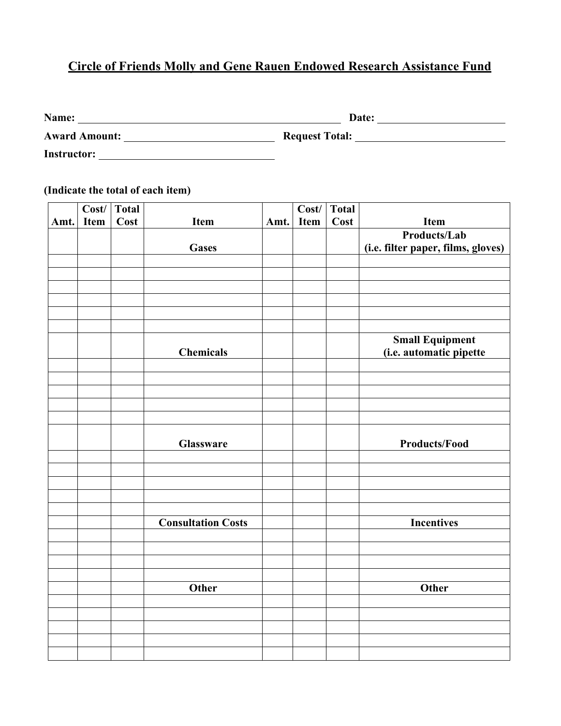### **Circle of Friends Molly and Gene Rauen Endowed Research Assistance Fund**

| Name:                | Date:                 |  |  |  |
|----------------------|-----------------------|--|--|--|
| <b>Award Amount:</b> | <b>Request Total:</b> |  |  |  |
| <b>Instructor:</b>   |                       |  |  |  |

**(Indicate the total of each item)**

|      | Cost/       | <b>Total</b> |                           |      | Cost/       | <b>Total</b> |                                                   |
|------|-------------|--------------|---------------------------|------|-------------|--------------|---------------------------------------------------|
| Amt. | <b>Item</b> | Cost         | Item                      | Amt. | <b>Item</b> | Cost         | <b>Item</b>                                       |
|      |             |              |                           |      |             |              | Products/Lab                                      |
|      |             |              | <b>Gases</b>              |      |             |              | (i.e. filter paper, films, gloves)                |
|      |             |              |                           |      |             |              |                                                   |
|      |             |              |                           |      |             |              |                                                   |
|      |             |              |                           |      |             |              |                                                   |
|      |             |              |                           |      |             |              |                                                   |
|      |             |              |                           |      |             |              |                                                   |
|      |             |              |                           |      |             |              |                                                   |
|      |             |              | <b>Chemicals</b>          |      |             |              | <b>Small Equipment</b><br>(i.e. automatic pipette |
|      |             |              |                           |      |             |              |                                                   |
|      |             |              |                           |      |             |              |                                                   |
|      |             |              |                           |      |             |              |                                                   |
|      |             |              |                           |      |             |              |                                                   |
|      |             |              |                           |      |             |              |                                                   |
|      |             |              | Glassware                 |      |             |              | <b>Products/Food</b>                              |
|      |             |              |                           |      |             |              |                                                   |
|      |             |              |                           |      |             |              |                                                   |
|      |             |              |                           |      |             |              |                                                   |
|      |             |              |                           |      |             |              |                                                   |
|      |             |              |                           |      |             |              |                                                   |
|      |             |              | <b>Consultation Costs</b> |      |             |              | <b>Incentives</b>                                 |
|      |             |              |                           |      |             |              |                                                   |
|      |             |              |                           |      |             |              |                                                   |
|      |             |              |                           |      |             |              |                                                   |
|      |             |              |                           |      |             |              |                                                   |
|      |             |              | Other                     |      |             |              | <b>Other</b>                                      |
|      |             |              |                           |      |             |              |                                                   |
|      |             |              |                           |      |             |              |                                                   |
|      |             |              |                           |      |             |              |                                                   |
|      |             |              |                           |      |             |              |                                                   |
|      |             |              |                           |      |             |              |                                                   |